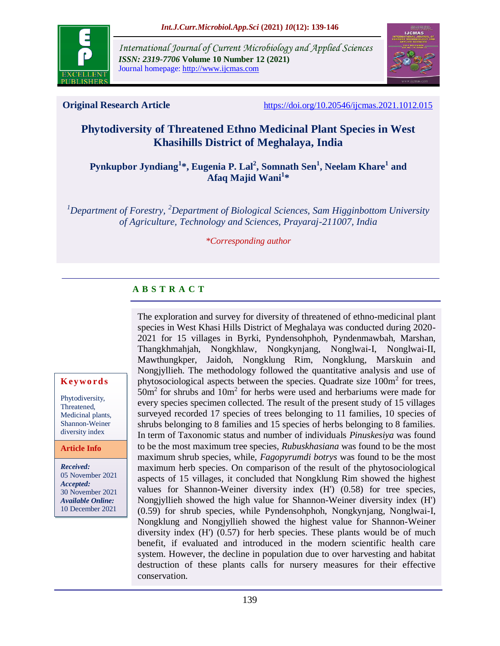

*International Journal of Current Microbiology and Applied Sciences ISSN: 2319-7706* **Volume 10 Number 12 (2021)**  Journal homepage: http://www.ijcmas.com



**Original Research Article** <https://doi.org/10.20546/ijcmas.2021.1012.015>

# **Phytodiversity of Threatened Ethno Medicinal Plant Species in West Khasihills District of Meghalaya, India**

**Pynkupbor Jyndiang<sup>1</sup> \*, Eugenia P. Lal<sup>2</sup> , Somnath Sen<sup>1</sup> , Neelam Khare<sup>1</sup> and Afaq Majid Wani<sup>1</sup> \***

*<sup>1</sup>Department of Forestry, <sup>2</sup>Department of Biological Sciences, Sam Higginbottom University of Agriculture, Technology and Sciences, Prayaraj-211007, India*

*\*Corresponding author*

# **A B S T R A C T**

The exploration and survey for diversity of threatened of ethno-medicinal plant species in West Khasi Hills District of Meghalaya was conducted during 2020- 2021 for 15 villages in Byrki, Pyndensohphoh, Pyndenmawbah, Marshan, Thangkhmahjah, Nongkhlaw, Nongkynjang, Nonglwai-I, Nonglwai-II, Mawthungkper, Jaidoh, Nongklung Rim, Nongklung, Marskuin and Nongjyllieh. The methodology followed the quantitative analysis and use of phytosociological aspects between the species. Quadrate size 100m<sup>2</sup> for trees,  $50m<sup>2</sup>$  for shrubs and  $10m<sup>2</sup>$  for herbs were used and herbariums were made for every species specimen collected. The result of the present study of 15 villages surveyed recorded 17 species of trees belonging to 11 families, 10 species of shrubs belonging to 8 families and 15 species of herbs belonging to 8 families. In term of Taxonomic status and number of individuals *Pinuskesiya* was found to be the most maximum tree species, *Rubuskhasiana* was found to be the most maximum shrub species, while, *Fagopyrumdi botrys* was found to be the most maximum herb species. On comparison of the result of the phytosociological aspects of 15 villages, it concluded that Nongklung Rim showed the highest values for Shannon-Weiner diversity index (H') (0.58) for tree species, Nongjyllieh showed the high value for Shannon-Weiner diversity index (H') (0.59) for shrub species, while Pyndensohphoh, Nongkynjang, Nonglwai-I, Nongklung and Nongjyllieh showed the highest value for Shannon-Weiner diversity index (H') (0.57) for herb species. These plants would be of much benefit, if evaluated and introduced in the modern scientific health care system. However, the decline in population due to over harvesting and habitat destruction of these plants calls for nursery measures for their effective conservation.

#### **K ey w o rd s**

Phytodiversity, Threatened, Medicinal plants, Shannon-Weiner diversity index

**Article Info**

*Received:*  05 November 2021 *Accepted:*  30 November 2021 *Available Online:* 10 December 2021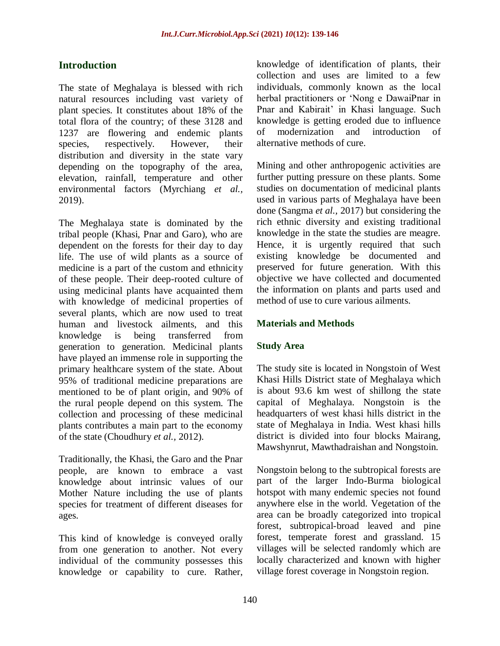# **Introduction**

The state of Meghalaya is blessed with rich natural resources including vast variety of plant species. It constitutes about 18% of the total flora of the country; of these 3128 and 1237 are flowering and endemic plants species, respectively. However, their distribution and diversity in the state vary depending on the topography of the area, elevation, rainfall, temperature and other environmental factors (Myrchiang *et al.,*  2019).

The Meghalaya state is dominated by the tribal people (Khasi, Pnar and Garo), who are dependent on the forests for their day to day life. The use of wild plants as a source of medicine is a part of the custom and ethnicity of these people. Their deep-rooted culture of using medicinal plants have acquainted them with knowledge of medicinal properties of several plants, which are now used to treat human and livestock ailments, and this knowledge is being transferred from generation to generation. Medicinal plants have played an immense role in supporting the primary healthcare system of the state. About 95% of traditional medicine preparations are mentioned to be of plant origin, and 90% of the rural people depend on this system. The collection and processing of these medicinal plants contributes a main part to the economy of the state (Choudhury *et al.,* 2012).

Traditionally, the Khasi, the Garo and the Pnar people, are known to embrace a vast knowledge about intrinsic values of our Mother Nature including the use of plants species for treatment of different diseases for ages.

This kind of knowledge is conveyed orally from one generation to another. Not every individual of the community possesses this knowledge or capability to cure. Rather, knowledge of identification of plants, their collection and uses are limited to a few individuals, commonly known as the local herbal practitioners or 'Nong e DawaiPnar in Pnar and Kabirait' in Khasi language. Such knowledge is getting eroded due to influence of modernization and introduction of alternative methods of cure.

Mining and other anthropogenic activities are further putting pressure on these plants. Some studies on documentation of medicinal plants used in various parts of Meghalaya have been done (Sangma *et al.,* 2017) but considering the rich ethnic diversity and existing traditional knowledge in the state the studies are meagre. Hence, it is urgently required that such existing knowledge be documented and preserved for future generation. With this objective we have collected and documented the information on plants and parts used and method of use to cure various ailments.

## **Materials and Methods**

# **Study Area**

The study site is located in Nongstoin of West Khasi Hills District state of Meghalaya which is about 93.6 km west of shillong the state capital of Meghalaya. Nongstoin is the headquarters of west khasi hills district in the state of Meghalaya in India. West khasi hills district is divided into four blocks Mairang, Mawshynrut, Mawthadraishan and Nongstoin.

Nongstoin belong to the subtropical forests are part of the larger Indo-Burma biological hotspot with many endemic species not found anywhere else in the world. Vegetation of the area can be broadly categorized into tropical forest, subtropical-broad leaved and pine forest, temperate forest and grassland. 15 villages will be selected randomly which are locally characterized and known with higher village forest coverage in Nongstoin region.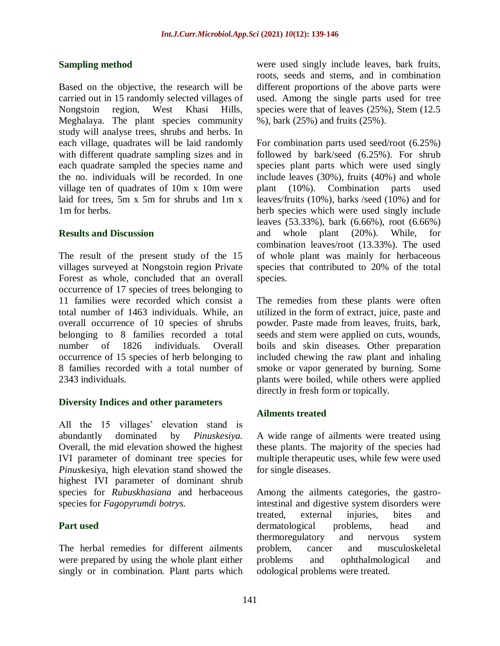### **Sampling method**

Based on the objective, the research will be carried out in 15 randomly selected villages of Nongstoin region, West Khasi Hills, Meghalaya. The plant species community study will analyse trees, shrubs and herbs. In each village, quadrates will be laid randomly with different quadrate sampling sizes and in each quadrate sampled the species name and the no. individuals will be recorded. In one village ten of quadrates of 10m x 10m were laid for trees, 5m x 5m for shrubs and 1m x 1m for herbs.

#### **Results and Discussion**

The result of the present study of the 15 villages surveyed at Nongstoin region Private Forest as whole, concluded that an overall occurrence of 17 species of trees belonging to 11 families were recorded which consist a total number of 1463 individuals. While, an overall occurrence of 10 species of shrubs belonging to 8 families recorded a total number of 1826 individuals. Overall occurrence of 15 species of herb belonging to 8 families recorded with a total number of 2343 individuals.

#### **Diversity Indices and other parameters**

All the 15 villages' elevation stand is abundantly dominated by *Pinuskesiya.*  Overall, the mid elevation showed the highest IVI parameter of dominant tree species for *Pinus*kesiya, high elevation stand showed the highest IVI parameter of dominant shrub species for *Rubuskhasiana* and herbaceous species for *Fagopyrumdi botrys.*

# **Part used**

The herbal remedies for different ailments were prepared by using the whole plant either singly or in combination. Plant parts which were used singly include leaves, bark fruits, roots, seeds and stems, and in combination different proportions of the above parts were used. Among the single parts used for tree species were that of leaves (25%), Stem (12.5 %), bark (25%) and fruits (25%).

For combination parts used seed/root (6.25%) followed by bark/seed (6.25%). For shrub species plant parts which were used singly include leaves (30%), fruits (40%) and whole plant (10%). Combination parts used leaves/fruits (10%), barks /seed (10%) and for herb species which were used singly include leaves (53.33%), bark (6.66%), root (6.66%) and whole plant (20%). While, for combination leaves/root (13.33%). The used of whole plant was mainly for herbaceous species that contributed to 20% of the total species.

The remedies from these plants were often utilized in the form of extract, juice, paste and powder. Paste made from leaves, fruits, bark, seeds and stem were applied on cuts, wounds, boils and skin diseases. Other preparation included chewing the raw plant and inhaling smoke or vapor generated by burning. Some plants were boiled, while others were applied directly in fresh form or topically.

# **Ailments treated**

A wide range of ailments were treated using these plants. The majority of the species had multiple therapeutic uses, while few were used for single diseases.

Among the ailments categories, the gastrointestinal and digestive system disorders were treated, external injuries, bites and dermatological problems, head and thermoregulatory and nervous system problem, cancer and musculoskeletal problems and ophthalmological and odological problems were treated.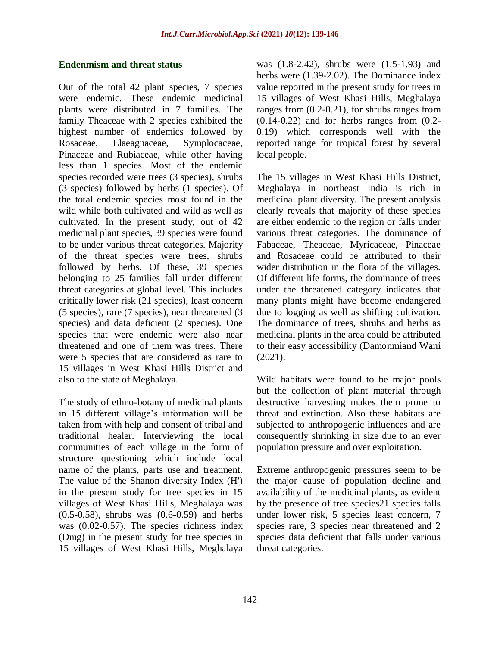### **Endenmism and threat status**

Out of the total 42 plant species, 7 species were endemic. These endemic medicinal plants were distributed in 7 families. The family Theaceae with 2 species exhibited the highest number of endemics followed by Rosaceae, Elaeagnaceae, Symplocaceae, Pinaceae and Rubiaceae, while other having less than 1 species. Most of the endemic species recorded were trees (3 species), shrubs (3 species) followed by herbs (1 species). Of the total endemic species most found in the wild while both cultivated and wild as well as cultivated. In the present study, out of 42 medicinal plant species, 39 species were found to be under various threat categories. Majority of the threat species were trees, shrubs followed by herbs. Of these, 39 species belonging to 25 families fall under different threat categories at global level. This includes critically lower risk (21 species), least concern (5 species), rare (7 species), near threatened (3 species) and data deficient (2 species). One species that were endemic were also near threatened and one of them was trees. There were 5 species that are considered as rare to 15 villages in West Khasi Hills District and also to the state of Meghalaya.

The study of ethno-botany of medicinal plants in 15 different village's information will be taken from with help and consent of tribal and traditional healer. Interviewing the local communities of each village in the form of structure questioning which include local name of the plants, parts use and treatment. The value of the Shanon diversity Index (H') in the present study for tree species in 15 villages of West Khasi Hills, Meghalaya was (0.5-0.58), shrubs was (0.6-0.59) and herbs was  $(0.02-0.57)$ . The species richness index (Dmg) in the present study for tree species in 15 villages of West Khasi Hills, Meghalaya

was (1.8-2.42), shrubs were (1.5-1.93) and herbs were (1.39-2.02). The Dominance index value reported in the present study for trees in 15 villages of West Khasi Hills, Meghalaya ranges from (0.2-0.21), for shrubs ranges from  $(0.14-0.22)$  and for herbs ranges from  $(0.2-$ 0.19) which corresponds well with the reported range for tropical forest by several local people.

The 15 villages in West Khasi Hills District, Meghalaya in northeast India is rich in medicinal plant diversity. The present analysis clearly reveals that majority of these species are either endemic to the region or falls under various threat categories. The dominance of Fabaceae, Theaceae, Myricaceae, Pinaceae and Rosaceae could be attributed to their wider distribution in the flora of the villages. Of different life forms, the dominance of trees under the threatened category indicates that many plants might have become endangered due to logging as well as shifting cultivation. The dominance of trees, shrubs and herbs as medicinal plants in the area could be attributed to their easy accessibility (Damonmiand Wani (2021).

Wild habitats were found to be major pools but the collection of plant material through destructive harvesting makes them prone to threat and extinction. Also these habitats are subjected to anthropogenic influences and are consequently shrinking in size due to an ever population pressure and over exploitation.

Extreme anthropogenic pressures seem to be the major cause of population decline and availability of the medicinal plants, as evident by the presence of tree species21 species falls under lower risk, 5 species least concern, 7 species rare, 3 species near threatened and 2 species data deficient that falls under various threat categories.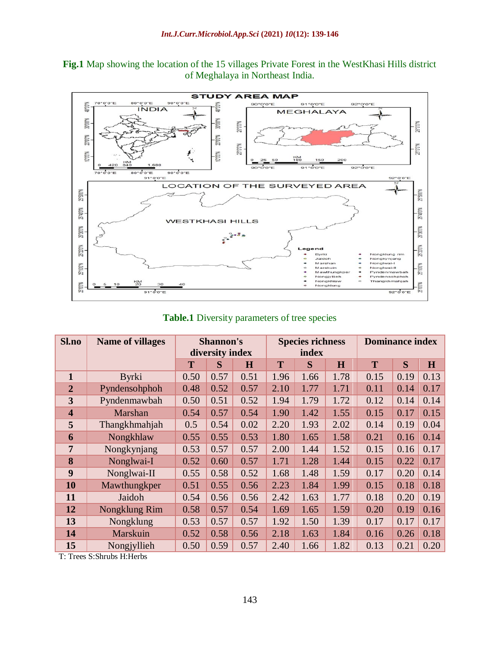**Fig.1** Map showing the location of the 15 villages Private Forest in the WestKhasi Hills district of Meghalaya in Northeast India.



**Table.1** Diversity parameters of tree species

| Sl.no                   | <b>Name of villages</b> | <b>Shannon's</b><br>diversity index |      |      | <b>Species richness</b><br>index |      |      | <b>Dominance index</b> |      |      |
|-------------------------|-------------------------|-------------------------------------|------|------|----------------------------------|------|------|------------------------|------|------|
|                         |                         | T                                   | S    | H    | T                                | S    | H    | T                      | S    | H    |
| $\mathbf{1}$            | <b>Byrki</b>            | 0.50                                | 0.57 | 0.51 | 1.96                             | 1.66 | 1.78 | 0.15                   | 0.19 | 0.13 |
| $\overline{2}$          | Pyndensohphoh           | 0.48                                | 0.52 | 0.57 | 2.10                             | 1.77 | 1.71 | 0.11                   | 0.14 | 0.17 |
| $\overline{3}$          | Pyndenmawbah            | 0.50                                | 0.51 | 0.52 | 1.94                             | 1.79 | 1.72 | 0.12                   | 0.14 | 0.14 |
| $\overline{\mathbf{4}}$ | Marshan                 | 0.54                                | 0.57 | 0.54 | 1.90                             | 1.42 | 1.55 | 0.15                   | 0.17 | 0.15 |
| 5                       | Thangkhmahjah           | 0.5                                 | 0.54 | 0.02 | 2.20                             | 1.93 | 2.02 | 0.14                   | 0.19 | 0.04 |
| 6                       | Nongkhlaw               | 0.55                                | 0.55 | 0.53 | 1.80                             | 1.65 | 1.58 | 0.21                   | 0.16 | 0.14 |
| $\overline{7}$          | Nongkynjang             | 0.53                                | 0.57 | 0.57 | 2.00                             | 1.44 | 1.52 | 0.15                   | 0.16 | 0.17 |
| 8                       | Nonglwai-I              | 0.52                                | 0.60 | 0.57 | 1.71                             | 1.28 | 1.44 | 0.15                   | 0.22 | 0.17 |
| 9                       | Nonglwai-II             | 0.55                                | 0.58 | 0.52 | 1.68                             | 1.48 | 1.59 | 0.17                   | 0.20 | 0.14 |
| 10                      | Mawthungkper            | 0.51                                | 0.55 | 0.56 | 2.23                             | 1.84 | 1.99 | 0.15                   | 0.18 | 0.18 |
| 11                      | Jaidoh                  | 0.54                                | 0.56 | 0.56 | 2.42                             | 1.63 | 1.77 | 0.18                   | 0.20 | 0.19 |
| 12                      | Nongklung Rim           | 0.58                                | 0.57 | 0.54 | 1.69                             | 1.65 | 1.59 | 0.20                   | 0.19 | 0.16 |
| 13                      | Nongklung               | 0.53                                | 0.57 | 0.57 | 1.92                             | 1.50 | 1.39 | 0.17                   | 0.17 | 0.17 |
| 14                      | Marskuin                | 0.52                                | 0.58 | 0.56 | 2.18                             | 1.63 | 1.84 | 0.16                   | 0.26 | 0.18 |
| 15                      | Nongjyllieh             | 0.50                                | 0.59 | 0.57 | 2.40                             | 1.66 | 1.82 | 0.13                   | 0.21 | 0.20 |

T: Trees S:Shrubs H:Herbs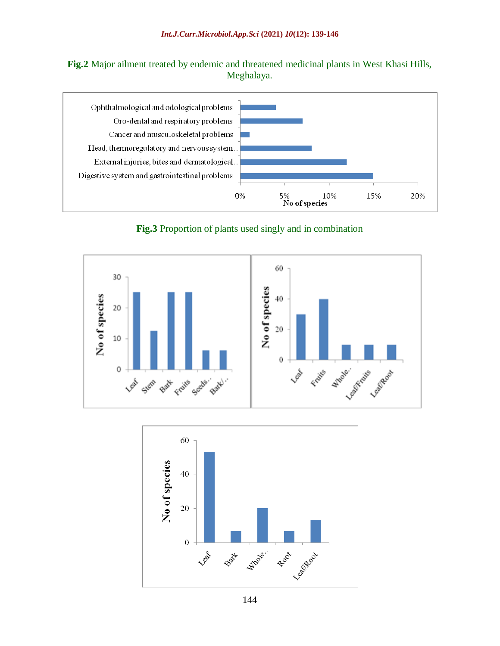**Fig.2** Major ailment treated by endemic and threatened medicinal plants in West Khasi Hills, Meghalaya.



**Fig.3** Proportion of plants used singly and in combination





144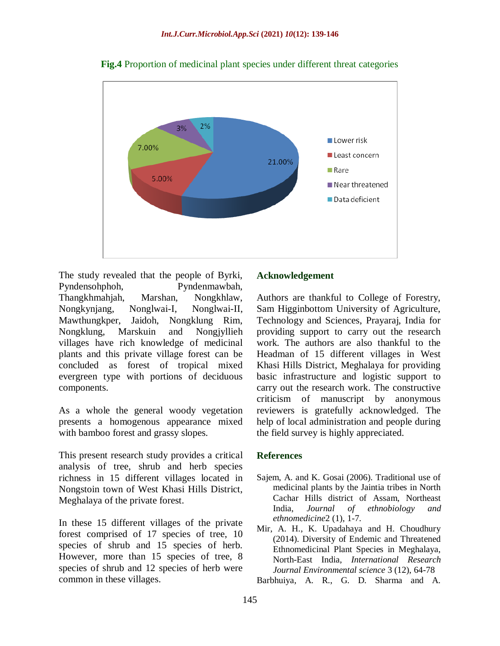

**Fig.4** Proportion of medicinal plant species under different threat categories

The study revealed that the people of Byrki, Pyndensohphoh, Pyndenmawbah, Thangkhmahjah, Marshan, Nongkhlaw, Nongkynjang, Nonglwai-I, Nonglwai-II, Mawthungkper, Jaidoh, Nongklung Rim, Nongklung, Marskuin and Nongjyllieh villages have rich knowledge of medicinal plants and this private village forest can be concluded as forest of tropical mixed evergreen type with portions of deciduous components.

As a whole the general woody vegetation presents a homogenous appearance mixed with bamboo forest and grassy slopes.

This present research study provides a critical analysis of tree, shrub and herb species richness in 15 different villages located in Nongstoin town of West Khasi Hills District, Meghalaya of the private forest.

In these 15 different villages of the private forest comprised of 17 species of tree, 10 species of shrub and 15 species of herb. However, more than 15 species of tree, 8 species of shrub and 12 species of herb were common in these villages.

#### **Acknowledgement**

Authors are thankful to College of Forestry, Sam Higginbottom University of Agriculture, Technology and Sciences, Prayaraj, India for providing support to carry out the research work. The authors are also thankful to the Headman of 15 different villages in West Khasi Hills District, Meghalaya for providing basic infrastructure and logistic support to carry out the research work. The constructive criticism of manuscript by anonymous reviewers is gratefully acknowledged. The help of local administration and people during the field survey is highly appreciated.

#### **References**

- Sajem, A. and K. Gosai (2006). Traditional use of medicinal plants by the Jaintia tribes in North Cachar Hills district of Assam, Northeast India, *Journal of ethnobiology and ethnomedicine*2 (1), 1-7.
- Mir, A. H., K. Upadahaya and H. Choudhury (2014). Diversity of Endemic and Threatened Ethnomedicinal Plant Species in Meghalaya, North-East India, *International Research Journal Environmental science* 3 (12), 64-78

Barbhuiya, A. R., G. D. Sharma and A.